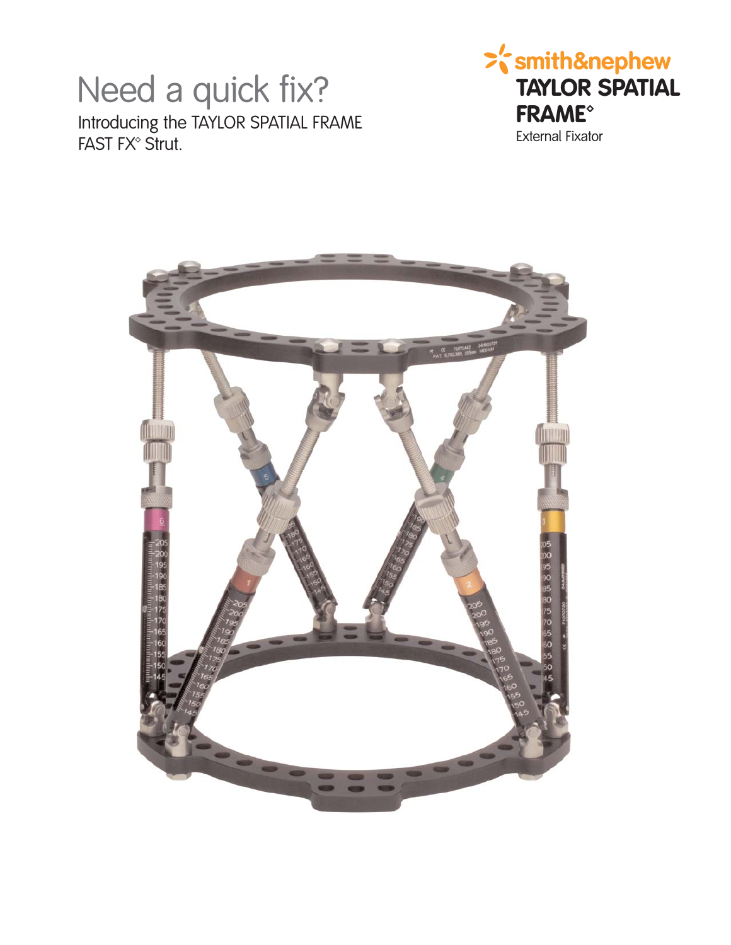## Need a quick fix? Introducing the TAYLOR SPATIAL FRAME FAST FX<sup>®</sup> Strut.